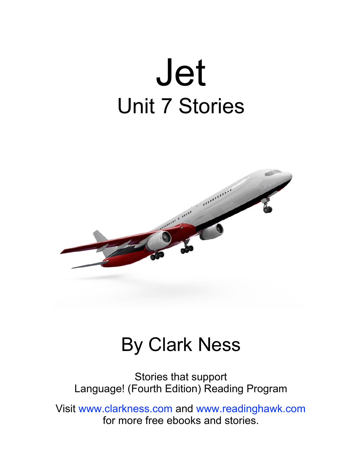## Jet Unit 7 Stories



#### By Clark Ness

Stories that support Language! (Fourth Edition) Reading Program

Visit [www.clarkness.com](http://www.clarkness.com) and [www.readinghawk.com](http://www.readinghawk.com) for more free ebooks and stories.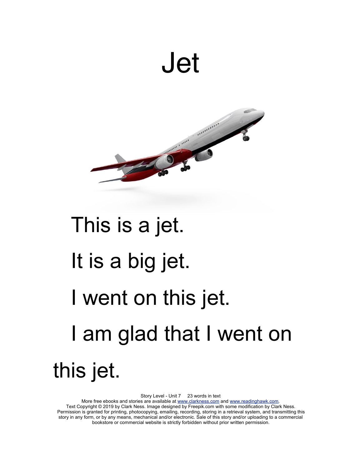### Jet



# This is a jet. It is a big jet. I went on this jet. I am glad that I went on this jet.

Story Level - Unit 7 23 words in text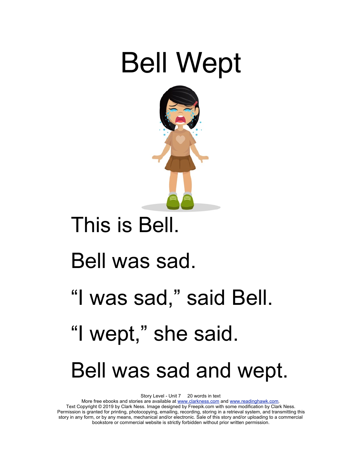



### This is Bell.

#### Bell was sad.

# "I was sad," said Bell.

#### "I wept," she said.

### Bell was sad and wept.

Story Level - Unit 7 20 words in text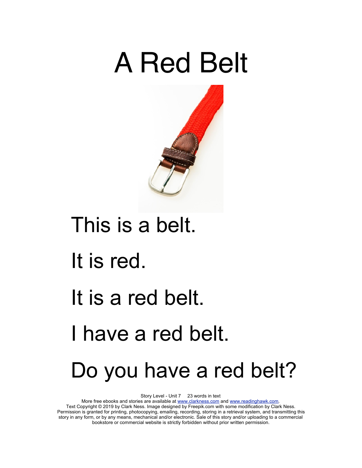### A Red Belt



# This is a belt. It is red. It is a red belt. I have a red belt. Do you have a red belt?

Story Level - Unit 7 23 words in text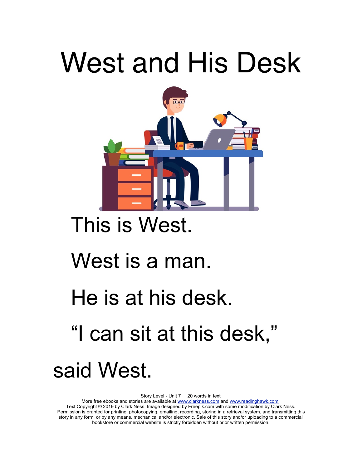## West and His Desk



#### This is West.

#### West is a man.

#### He is at his desk.

### "I can sit at this desk,"

### said West.

Story Level - Unit 7 20 words in text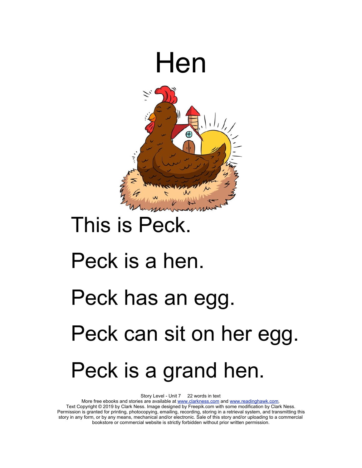

#### This is Peck.

#### Peck is a hen.

# Peck has an egg. Peck can sit on her egg. Peck is a grand hen.

Story Level - Unit 7 22 words in text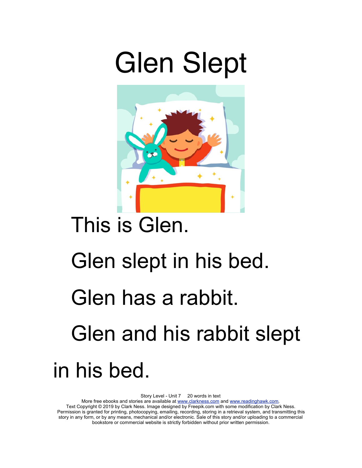### Glen Slept



### This is Glen.

#### Glen slept in his bed.

#### Glen has a rabbit.

### Glen and his rabbit slept in his bed.

Story Level - Unit 7 20 words in text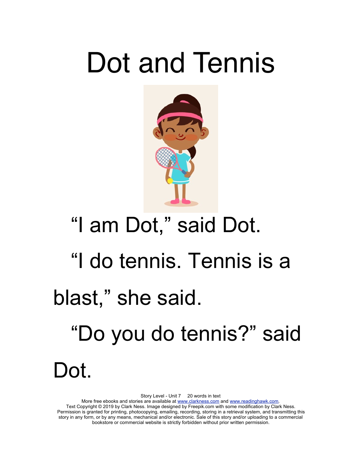## Dot and Tennis



# "I am Dot," said Dot. "I do tennis. Tennis is a blast," she said. "Do you do tennis?" said Dot.

Story Level - Unit 7 20 words in text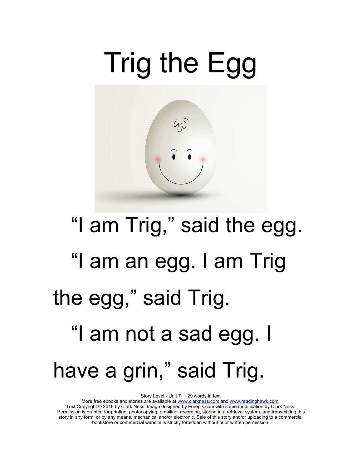

# "I am Trig," said the egg. "I am an egg. I am Trig the egg," said Trig. "I am not a sad egg. I have a grin," said Trig.

Story Level - Unit 7 29 words in text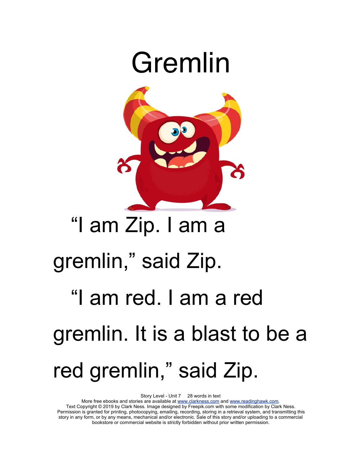

Story Level - Unit 7 28 words in text